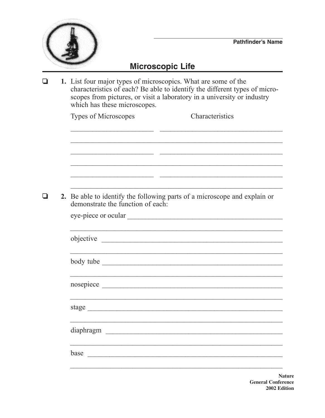## Microscopic Life

|  | 1. List four major types of microscopics. What are some of the<br>characteristics of each? Be able to identify the different types of micro-<br>scopes from pictures, or visit a laboratory in a university or industry<br>which has these microscopes. |  |  |
|--|---------------------------------------------------------------------------------------------------------------------------------------------------------------------------------------------------------------------------------------------------------|--|--|
|  | Types of Microscopes<br>Characteristics                                                                                                                                                                                                                 |  |  |
|  | 2. Be able to identify the following parts of a microscope and explain or<br>demonstrate the function of each:<br>objective                                                                                                                             |  |  |
|  |                                                                                                                                                                                                                                                         |  |  |
|  |                                                                                                                                                                                                                                                         |  |  |
|  | stage                                                                                                                                                                                                                                                   |  |  |
|  | diaphragm                                                                                                                                                                                                                                               |  |  |
|  | base                                                                                                                                                                                                                                                    |  |  |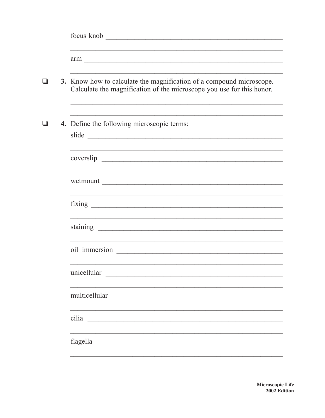|  | 3. Know how to calculate the magnification of a compound microscope.<br>Calculate the magnification of the microscope you use for this honor. |                                            |  |  |
|--|-----------------------------------------------------------------------------------------------------------------------------------------------|--------------------------------------------|--|--|
|  |                                                                                                                                               | 4. Define the following microscopic terms: |  |  |
|  |                                                                                                                                               |                                            |  |  |
|  |                                                                                                                                               |                                            |  |  |
|  |                                                                                                                                               |                                            |  |  |
|  |                                                                                                                                               |                                            |  |  |
|  |                                                                                                                                               |                                            |  |  |
|  |                                                                                                                                               | unicellular                                |  |  |
|  |                                                                                                                                               | multicellular                              |  |  |
|  |                                                                                                                                               | cilia                                      |  |  |
|  |                                                                                                                                               |                                            |  |  |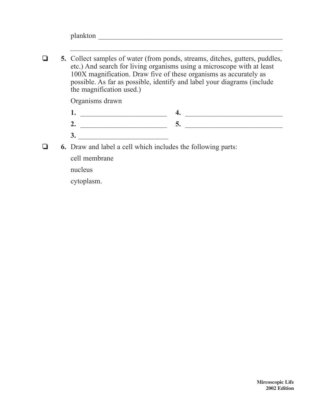$\Box$  5. Collect samples of water (from ponds, streams, ditches, gutters, puddles, etc.) And search for living organisms using a microscope with at least 100X magnification. Draw five of these organisms as accurately as possible. As far as possible, identify and label your diagrams (include the magnification used.)

Organisms drawn

**1.** \_\_\_\_\_\_\_\_\_\_\_\_\_\_\_\_\_\_\_\_\_\_\_\_ **4.** \_\_\_\_\_\_\_\_\_\_\_\_\_\_\_\_\_\_\_\_\_\_\_\_\_\_\_ **2.** \_\_\_\_\_\_\_\_\_\_\_\_\_\_\_\_\_\_\_\_\_\_\_\_ **5.** \_\_\_\_\_\_\_\_\_\_\_\_\_\_\_\_\_\_\_\_\_\_\_\_\_\_\_

 $\mathcal{L}_\text{max}$  and  $\mathcal{L}_\text{max}$  and  $\mathcal{L}_\text{max}$  and  $\mathcal{L}_\text{max}$  and  $\mathcal{L}_\text{max}$  and  $\mathcal{L}_\text{max}$ 

- **3.**  $\blacksquare$  $\Box$  6. Draw and label a cell which includes the following parts:
- 

cell membrane

nucleus

cytoplasm.